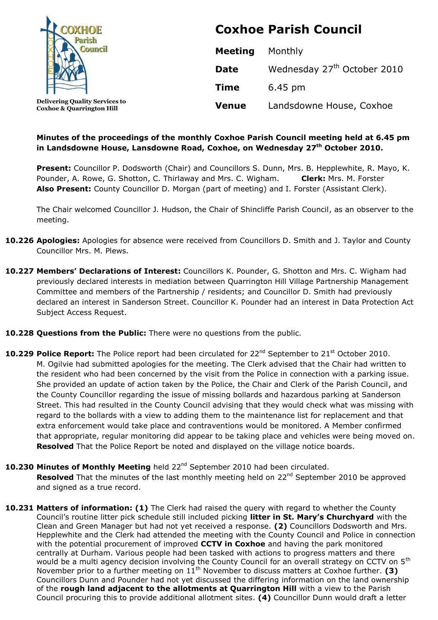

**Coxhoe & Quarrington Hill**

# **Coxhoe Parish Council**

| <b>Meeting</b> | Monthly                                 |
|----------------|-----------------------------------------|
| <b>Date</b>    | Wednesday 27 <sup>th</sup> October 2010 |
| <b>Time</b>    | 6.45 pm                                 |
| <b>Venue</b>   | Landsdowne House, Coxhoe                |

### **Minutes of the proceedings of the monthly Coxhoe Parish Council meeting held at 6.45 pm in Landsdowne House, Lansdowne Road, Coxhoe, on Wednesday 27 th October 2010.**

**Present:** Councillor P. Dodsworth (Chair) and Councillors S. Dunn, Mrs. B. Hepplewhite, R. Mayo, K. Pounder, A. Rowe, G. Shotton, C. Thirlaway and Mrs. C. Wigham. **Clerk:** Mrs. M. Forster **Also Present:** County Councillor D. Morgan (part of meeting) and I. Forster (Assistant Clerk).

The Chair welcomed Councillor J. Hudson, the Chair of Shincliffe Parish Council, as an observer to the meeting.

- **10.226 Apologies:** Apologies for absence were received from Councillors D. Smith and J. Taylor and County Councillor Mrs. M. Plews.
- **10.227 Members' Declarations of Interest:** Councillors K. Pounder, G. Shotton and Mrs. C. Wigham had previously declared interests in mediation between Quarrington Hill Village Partnership Management Committee and members of the Partnership / residents; and Councillor D. Smith had previously declared an interest in Sanderson Street. Councillor K. Pounder had an interest in Data Protection Act Subject Access Request.
- **10.228 Questions from the Public:** There were no questions from the public.
- 10.229 Police Report: The Police report had been circulated for 22<sup>nd</sup> September to 21<sup>st</sup> October 2010. M. Ogilvie had submitted apologies for the meeting. The Clerk advised that the Chair had written to the resident who had been concerned by the visit from the Police in connection with a parking issue. She provided an update of action taken by the Police, the Chair and Clerk of the Parish Council, and the County Councillor regarding the issue of missing bollards and hazardous parking at Sanderson Street. This had resulted in the County Council advising that they would check what was missing with regard to the bollards with a view to adding them to the maintenance list for replacement and that extra enforcement would take place and contraventions would be monitored. A Member confirmed that appropriate, regular monitoring did appear to be taking place and vehicles were being moved on. **Resolved** That the Police Report be noted and displayed on the village notice boards.
- 10.230 Minutes of Monthly Meeting held 22<sup>nd</sup> September 2010 had been circulated. **Resolved** That the minutes of the last monthly meeting held on 22<sup>nd</sup> September 2010 be approved and signed as a true record.
- **10.231 Matters of information: (1)** The Clerk had raised the query with regard to whether the County Council's routine litter pick schedule still included picking **litter in St. Mary's Churchyard** with the Clean and Green Manager but had not yet received a response. **(2)** Councillors Dodsworth and Mrs. Hepplewhite and the Clerk had attended the meeting with the County Council and Police in connection with the potential procurement of improved **CCTV in Coxhoe** and having the park monitored centrally at Durham. Various people had been tasked with actions to progress matters and there would be a multi agency decision involving the County Council for an overall strategy on CCTV on 5<sup>th</sup> November prior to a further meeting on  $11<sup>th</sup>$  November to discuss matters at Coxhoe further. (3) Councillors Dunn and Pounder had not yet discussed the differing information on the land ownership of the **rough land adjacent to the allotments at Quarrington Hill** with a view to the Parish Council procuring this to provide additional allotment sites. **(4)** Councillor Dunn would draft a letter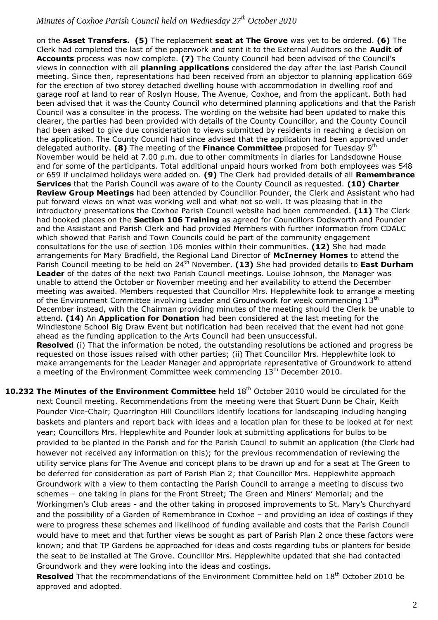on the **Asset Transfers. (5)** The replacement **seat at The Grove** was yet to be ordered. **(6)** The Clerk had completed the last of the paperwork and sent it to the External Auditors so the **Audit of Accounts** process was now complete. **(7)** The County Council had been advised of the Council's views in connection with all **planning applications** considered the day after the last Parish Council meeting. Since then, representations had been received from an objector to planning application 669 for the erection of two storey detached dwelling house with accommodation in dwelling roof and garage roof at land to rear of Roslyn House, The Avenue, Coxhoe, and from the applicant. Both had been advised that it was the County Council who determined planning applications and that the Parish Council was a consultee in the process. The wording on the website had been updated to make this clearer, the parties had been provided with details of the County Councillor, and the County Council had been asked to give due consideration to views submitted by residents in reaching a decision on the application. The County Council had since advised that the application had been approved under delegated authority. **(8)** The meeting of the **Finance Committee** proposed for Tuesday 9th November would be held at 7.00 p.m. due to other commitments in diaries for Landsdowne House and for some of the participants. Total additional unpaid hours worked from both employees was 548 or 659 if unclaimed holidays were added on. **(9)** The Clerk had provided details of all **Remembrance Services** that the Parish Council was aware of to the County Council as requested. **(10) Charter Review Group Meetings** had been attended by Councillor Pounder, the Clerk and Assistant who had put forward views on what was working well and what not so well. It was pleasing that in the introductory presentations the Coxhoe Parish Council website had been commended. **(11)** The Clerk had booked places on the **Section 106 Training** as agreed for Councillors Dodsworth and Pounder and the Assistant and Parish Clerk and had provided Members with further information from CDALC which showed that Parish and Town Councils could be part of the community engagement consultations for the use of section 106 monies within their communities. **(12)** She had made arrangements for Mary Bradfield, the Regional Land Director of **McInerney Homes** to attend the Parish Council meeting to be held on 24th November. **(13)** She had provided details to **East Durham Leader** of the dates of the next two Parish Council meetings. Louise Johnson, the Manager was unable to attend the October or November meeting and her availability to attend the December meeting was awaited. Members requested that Councillor Mrs. Hepplewhite look to arrange a meeting of the Environment Committee involving Leader and Groundwork for week commencing 13<sup>th</sup> December instead, with the Chairman providing minutes of the meeting should the Clerk be unable to attend. **(14)** An **Application for Donation** had been considered at the last meeting for the Windlestone School Big Draw Event but notification had been received that the event had not gone ahead as the funding application to the Arts Council had been unsuccessful. **Resolved** (i) That the information be noted, the outstanding resolutions be actioned and progress be requested on those issues raised with other parties; (ii) That Councillor Mrs. Hepplewhite look to make arrangements for the Leader Manager and appropriate representative of Groundwork to attend a meeting of the Environment Committee week commencing  $13<sup>th</sup>$  December 2010.

10.232 The Minutes of the Environment Committee held 18<sup>th</sup> October 2010 would be circulated for the next Council meeting. Recommendations from the meeting were that Stuart Dunn be Chair, Keith Pounder Vice-Chair; Quarrington Hill Councillors identify locations for landscaping including hanging baskets and planters and report back with ideas and a location plan for these to be looked at for next year; Councillors Mrs. Hepplewhite and Pounder look at submitting applications for bulbs to be provided to be planted in the Parish and for the Parish Council to submit an application (the Clerk had however not received any information on this); for the previous recommendation of reviewing the utility service plans for The Avenue and concept plans to be drawn up and for a seat at The Green to be deferred for consideration as part of Parish Plan 2; that Councillor Mrs. Hepplewhite approach Groundwork with a view to them contacting the Parish Council to arrange a meeting to discuss two schemes – one taking in plans for the Front Street; The Green and Miners' Memorial; and the Workingmen's Club areas - and the other taking in proposed improvements to St. Mary's Churchyard and the possibility of a Garden of Remembrance in Coxhoe – and providing an idea of costings if they were to progress these schemes and likelihood of funding available and costs that the Parish Council would have to meet and that further views be sought as part of Parish Plan 2 once these factors were known; and that TP Gardens be approached for ideas and costs regarding tubs or planters for beside the seat to be installed at The Grove. Councillor Mrs. Hepplewhite updated that she had contacted Groundwork and they were looking into the ideas and costings.

Resolved That the recommendations of the Environment Committee held on 18<sup>th</sup> October 2010 be approved and adopted.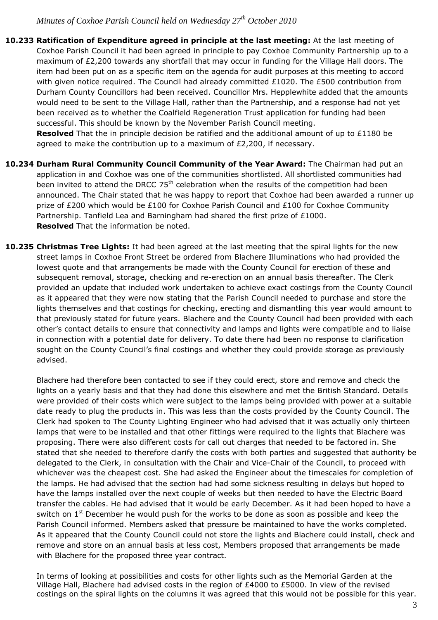**10.233 Ratification of Expenditure agreed in principle at the last meeting:** At the last meeting of Coxhoe Parish Council it had been agreed in principle to pay Coxhoe Community Partnership up to a maximum of £2,200 towards any shortfall that may occur in funding for the Village Hall doors. The item had been put on as a specific item on the agenda for audit purposes at this meeting to accord with given notice required. The Council had already committed £1020. The £500 contribution from Durham County Councillors had been received. Councillor Mrs. Hepplewhite added that the amounts would need to be sent to the Village Hall, rather than the Partnership, and a response had not yet been received as to whether the Coalfield Regeneration Trust application for funding had been successful. This should be known by the November Parish Council meeting.

**Resolved** That the in principle decision be ratified and the additional amount of up to £1180 be agreed to make the contribution up to a maximum of £2,200, if necessary.

- **10.234 Durham Rural Community Council Community of the Year Award:** The Chairman had put an application in and Coxhoe was one of the communities shortlisted. All shortlisted communities had been invited to attend the DRCC  $75<sup>th</sup>$  celebration when the results of the competition had been announced. The Chair stated that he was happy to report that Coxhoe had been awarded a runner up prize of £200 which would be £100 for Coxhoe Parish Council and £100 for Coxhoe Community Partnership. Tanfield Lea and Barningham had shared the first prize of £1000. **Resolved** That the information be noted.
- **10.235 Christmas Tree Lights:** It had been agreed at the last meeting that the spiral lights for the new street lamps in Coxhoe Front Street be ordered from Blachere Illuminations who had provided the lowest quote and that arrangements be made with the County Council for erection of these and subsequent removal, storage, checking and re-erection on an annual basis thereafter. The Clerk provided an update that included work undertaken to achieve exact costings from the County Council as it appeared that they were now stating that the Parish Council needed to purchase and store the lights themselves and that costings for checking, erecting and dismantling this year would amount to that previously stated for future years. Blachere and the County Council had been provided with each other's contact details to ensure that connectivity and lamps and lights were compatible and to liaise in connection with a potential date for delivery. To date there had been no response to clarification sought on the County Council's final costings and whether they could provide storage as previously advised.

Blachere had therefore been contacted to see if they could erect, store and remove and check the lights on a yearly basis and that they had done this elsewhere and met the British Standard. Details were provided of their costs which were subject to the lamps being provided with power at a suitable date ready to plug the products in. This was less than the costs provided by the County Council. The Clerk had spoken to The County Lighting Engineer who had advised that it was actually only thirteen lamps that were to be installed and that other fittings were required to the lights that Blachere was proposing. There were also different costs for call out charges that needed to be factored in. She stated that she needed to therefore clarify the costs with both parties and suggested that authority be delegated to the Clerk, in consultation with the Chair and Vice-Chair of the Council, to proceed with whichever was the cheapest cost. She had asked the Engineer about the timescales for completion of the lamps. He had advised that the section had had some sickness resulting in delays but hoped to have the lamps installed over the next couple of weeks but then needed to have the Electric Board transfer the cables. He had advised that it would be early December. As it had been hoped to have a switch on  $1^{\text{st}}$  December he would push for the works to be done as soon as possible and keep the Parish Council informed. Members asked that pressure be maintained to have the works completed. As it appeared that the County Council could not store the lights and Blachere could install, check and remove and store on an annual basis at less cost, Members proposed that arrangements be made with Blachere for the proposed three year contract.

In terms of looking at possibilities and costs for other lights such as the Memorial Garden at the Village Hall, Blachere had advised costs in the region of £4000 to £5000. In view of the revised costings on the spiral lights on the columns it was agreed that this would not be possible for this year.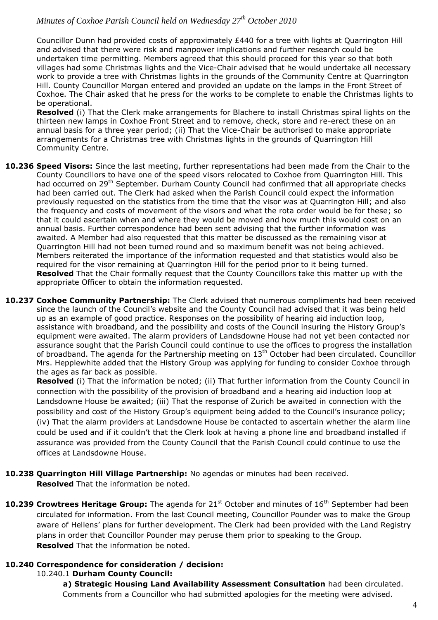Councillor Dunn had provided costs of approximately £440 for a tree with lights at Quarrington Hill and advised that there were risk and manpower implications and further research could be undertaken time permitting. Members agreed that this should proceed for this year so that both villages had some Christmas lights and the Vice-Chair advised that he would undertake all necessary work to provide a tree with Christmas lights in the grounds of the Community Centre at Quarrington Hill. County Councillor Morgan entered and provided an update on the lamps in the Front Street of Coxhoe. The Chair asked that he press for the works to be complete to enable the Christmas lights to be operational.

**Resolved** (i) That the Clerk make arrangements for Blachere to install Christmas spiral lights on the thirteen new lamps in Coxhoe Front Street and to remove, check, store and re-erect these on an annual basis for a three year period; (ii) That the Vice-Chair be authorised to make appropriate arrangements for a Christmas tree with Christmas lights in the grounds of Quarrington Hill Community Centre.

- **10.236 Speed Visors:** Since the last meeting, further representations had been made from the Chair to the County Councillors to have one of the speed visors relocated to Coxhoe from Quarrington Hill. This had occurred on 29<sup>th</sup> September. Durham County Council had confirmed that all appropriate checks had been carried out. The Clerk had asked when the Parish Council could expect the information previously requested on the statistics from the time that the visor was at Quarrington Hill; and also the frequency and costs of movement of the visors and what the rota order would be for these; so that it could ascertain when and where they would be moved and how much this would cost on an annual basis. Further correspondence had been sent advising that the further information was awaited. A Member had also requested that this matter be discussed as the remaining visor at Quarrington Hill had not been turned round and so maximum benefit was not being achieved. Members reiterated the importance of the information requested and that statistics would also be required for the visor remaining at Quarrington Hill for the period prior to it being turned. **Resolved** That the Chair formally request that the County Councillors take this matter up with the appropriate Officer to obtain the information requested.
- **10.237 Coxhoe Community Partnership:** The Clerk advised that numerous compliments had been received since the launch of the Council's website and the County Council had advised that it was being held up as an example of good practice. Responses on the possibility of hearing aid induction loop, assistance with broadband, and the possibility and costs of the Council insuring the History Group's equipment were awaited. The alarm providers of Landsdowne House had not yet been contacted nor assurance sought that the Parish Council could continue to use the offices to progress the installation of broadband. The agenda for the Partnership meeting on 13<sup>th</sup> October had been circulated. Councillor Mrs. Hepplewhite added that the History Group was applying for funding to consider Coxhoe through the ages as far back as possible.

**Resolved** (i) That the information be noted; (ii) That further information from the County Council in connection with the possibility of the provision of broadband and a hearing aid induction loop at Landsdowne House be awaited; (iii) That the response of Zurich be awaited in connection with the possibility and cost of the History Group's equipment being added to the Council's insurance policy; (iv) That the alarm providers at Landsdowne House be contacted to ascertain whether the alarm line could be used and if it couldn't that the Clerk look at having a phone line and broadband installed if assurance was provided from the County Council that the Parish Council could continue to use the offices at Landsdowne House.

- **10.238 Quarrington Hill Village Partnership:** No agendas or minutes had been received. **Resolved** That the information be noted.
- **10.239 Crowtrees Heritage Group:** The agenda for 21<sup>st</sup> October and minutes of 16<sup>th</sup> September had been circulated for information. From the last Council meeting, Councillor Pounder was to make the Group aware of Hellens' plans for further development. The Clerk had been provided with the Land Registry plans in order that Councillor Pounder may peruse them prior to speaking to the Group. **Resolved** That the information be noted.

#### **10.240 Correspondence for consideration / decision:**

#### 10.240.1 **Durham County Council:**

**a) Strategic Housing Land Availability Assessment Consultation** had been circulated. Comments from a Councillor who had submitted apologies for the meeting were advised.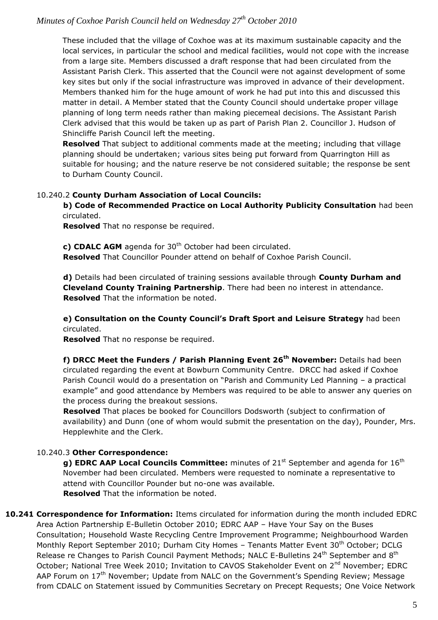These included that the village of Coxhoe was at its maximum sustainable capacity and the local services, in particular the school and medical facilities, would not cope with the increase from a large site. Members discussed a draft response that had been circulated from the Assistant Parish Clerk. This asserted that the Council were not against development of some key sites but only if the social infrastructure was improved in advance of their development. Members thanked him for the huge amount of work he had put into this and discussed this matter in detail. A Member stated that the County Council should undertake proper village planning of long term needs rather than making piecemeal decisions. The Assistant Parish Clerk advised that this would be taken up as part of Parish Plan 2. Councillor J. Hudson of Shincliffe Parish Council left the meeting.

**Resolved** That subject to additional comments made at the meeting; including that village planning should be undertaken; various sites being put forward from Quarrington Hill as suitable for housing; and the nature reserve be not considered suitable; the response be sent to Durham County Council.

#### 10.240.2 **County Durham Association of Local Councils:**

**b) Code of Recommended Practice on Local Authority Publicity Consultation** had been circulated.

**Resolved** That no response be required.

**c) CDALC AGM** agenda for 30<sup>th</sup> October had been circulated. **Resolved** That Councillor Pounder attend on behalf of Coxhoe Parish Council.

**d)** Details had been circulated of training sessions available through **County Durham and Cleveland County Training Partnership**. There had been no interest in attendance. **Resolved** That the information be noted.

**e) Consultation on the County Council's Draft Sport and Leisure Strategy** had been circulated.

**Resolved** That no response be required.

**f) DRCC Meet the Funders / Parish Planning Event 26th November:** Details had been circulated regarding the event at Bowburn Community Centre. DRCC had asked if Coxhoe Parish Council would do a presentation on "Parish and Community Led Planning – a practical example" and good attendance by Members was required to be able to answer any queries on the process during the breakout sessions.

**Resolved** That places be booked for Councillors Dodsworth (subject to confirmation of availability) and Dunn (one of whom would submit the presentation on the day), Pounder, Mrs. Hepplewhite and the Clerk.

#### 10.240.3 **Other Correspondence:**

**g) EDRC AAP Local Councils Committee:** minutes of 21<sup>st</sup> September and agenda for 16<sup>th</sup> November had been circulated. Members were requested to nominate a representative to attend with Councillor Pounder but no-one was available. **Resolved** That the information be noted.

**10.241 Correspondence for Information:** Items circulated for information during the month included EDRC Area Action Partnership E-Bulletin October 2010; EDRC AAP – Have Your Say on the Buses Consultation; Household Waste Recycling Centre Improvement Programme; Neighbourhood Warden Monthly Report September 2010; Durham City Homes - Tenants Matter Event 30<sup>th</sup> October; DCLG Release re Changes to Parish Council Payment Methods; NALC E-Bulletins 24<sup>th</sup> September and 8<sup>th</sup> October; National Tree Week 2010; Invitation to CAVOS Stakeholder Event on 2<sup>nd</sup> November; EDRC AAP Forum on 17<sup>th</sup> November; Update from NALC on the Government's Spending Review; Message from CDALC on Statement issued by Communities Secretary on Precept Requests; One Voice Network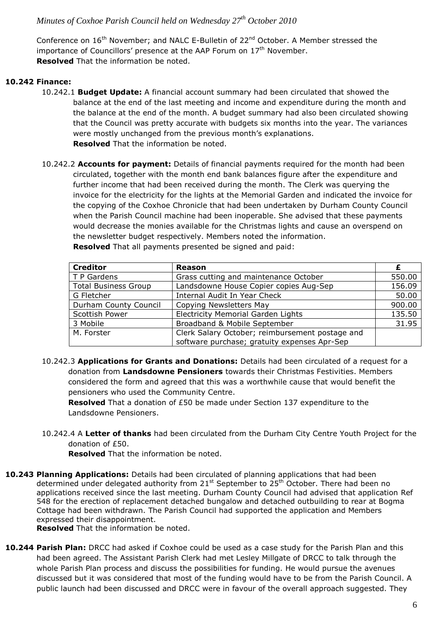Conference on 16<sup>th</sup> November; and NALC E-Bulletin of 22<sup>nd</sup> October. A Member stressed the importance of Councillors' presence at the AAP Forum on  $17<sup>th</sup>$  November. **Resolved** That the information be noted.

## **10.242 Finance:**

- 10.242.1 **Budget Update:** A financial account summary had been circulated that showed the balance at the end of the last meeting and income and expenditure during the month and the balance at the end of the month. A budget summary had also been circulated showing that the Council was pretty accurate with budgets six months into the year. The variances were mostly unchanged from the previous month's explanations. **Resolved** That the information be noted.
- 10.242.2 **Accounts for payment:** Details of financial payments required for the month had been circulated, together with the month end bank balances figure after the expenditure and further income that had been received during the month. The Clerk was querying the invoice for the electricity for the lights at the Memorial Garden and indicated the invoice for the copying of the Coxhoe Chronicle that had been undertaken by Durham County Council when the Parish Council machine had been inoperable. She advised that these payments would decrease the monies available for the Christmas lights and cause an overspend on the newsletter budget respectively. Members noted the information. **Resolved** That all payments presented be signed and paid:

| <b>Creditor</b>             | Reason                                          |        |
|-----------------------------|-------------------------------------------------|--------|
| T P Gardens                 | Grass cutting and maintenance October           | 550.00 |
| <b>Total Business Group</b> | Landsdowne House Copier copies Aug-Sep          | 156.09 |
| G Fletcher                  | Internal Audit In Year Check                    | 50.00  |
| Durham County Council       | Copying Newsletters May                         | 900.00 |
| <b>Scottish Power</b>       | <b>Electricity Memorial Garden Lights</b>       | 135.50 |
| 3 Mobile                    | Broadband & Mobile September                    | 31.95  |
| M. Forster                  | Clerk Salary October; reimbursement postage and |        |
|                             | software purchase; gratuity expenses Apr-Sep    |        |

10.242.3 **Applications for Grants and Donations:** Details had been circulated of a request for a donation from **Landsdowne Pensioners** towards their Christmas Festivities. Members considered the form and agreed that this was a worthwhile cause that would benefit the pensioners who used the Community Centre.

**Resolved** That a donation of £50 be made under Section 137 expenditure to the Landsdowne Pensioners.

10.242.4 A **Letter of thanks** had been circulated from the Durham City Centre Youth Project for the donation of £50.

**Resolved** That the information be noted.

**10.243 Planning Applications:** Details had been circulated of planning applications that had been determined under delegated authority from 21<sup>st</sup> September to 25<sup>th</sup> October. There had been no applications received since the last meeting. Durham County Council had advised that application Ref 548 for the erection of replacement detached bungalow and detached outbuilding to rear at Bogma Cottage had been withdrawn. The Parish Council had supported the application and Members expressed their disappointment.

**Resolved** That the information be noted.

**10.244 Parish Plan:** DRCC had asked if Coxhoe could be used as a case study for the Parish Plan and this had been agreed. The Assistant Parish Clerk had met Lesley Millgate of DRCC to talk through the whole Parish Plan process and discuss the possibilities for funding. He would pursue the avenues discussed but it was considered that most of the funding would have to be from the Parish Council. A public launch had been discussed and DRCC were in favour of the overall approach suggested. They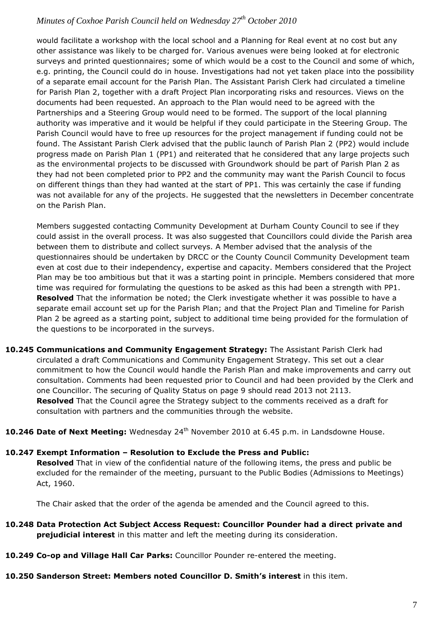would facilitate a workshop with the local school and a Planning for Real event at no cost but any other assistance was likely to be charged for. Various avenues were being looked at for electronic surveys and printed questionnaires; some of which would be a cost to the Council and some of which, e.g. printing, the Council could do in house. Investigations had not yet taken place into the possibility of a separate email account for the Parish Plan. The Assistant Parish Clerk had circulated a timeline for Parish Plan 2, together with a draft Project Plan incorporating risks and resources. Views on the documents had been requested. An approach to the Plan would need to be agreed with the Partnerships and a Steering Group would need to be formed. The support of the local planning authority was imperative and it would be helpful if they could participate in the Steering Group. The Parish Council would have to free up resources for the project management if funding could not be found. The Assistant Parish Clerk advised that the public launch of Parish Plan 2 (PP2) would include progress made on Parish Plan 1 (PP1) and reiterated that he considered that any large projects such as the environmental projects to be discussed with Groundwork should be part of Parish Plan 2 as they had not been completed prior to PP2 and the community may want the Parish Council to focus on different things than they had wanted at the start of PP1. This was certainly the case if funding was not available for any of the projects. He suggested that the newsletters in December concentrate on the Parish Plan.

Members suggested contacting Community Development at Durham County Council to see if they could assist in the overall process. It was also suggested that Councillors could divide the Parish area between them to distribute and collect surveys. A Member advised that the analysis of the questionnaires should be undertaken by DRCC or the County Council Community Development team even at cost due to their independency, expertise and capacity. Members considered that the Project Plan may be too ambitious but that it was a starting point in principle. Members considered that more time was required for formulating the questions to be asked as this had been a strength with PP1. **Resolved** That the information be noted; the Clerk investigate whether it was possible to have a separate email account set up for the Parish Plan; and that the Project Plan and Timeline for Parish Plan 2 be agreed as a starting point, subject to additional time being provided for the formulation of the questions to be incorporated in the surveys.

- **10.245 Communications and Community Engagement Strategy:** The Assistant Parish Clerk had circulated a draft Communications and Community Engagement Strategy. This set out a clear commitment to how the Council would handle the Parish Plan and make improvements and carry out consultation. Comments had been requested prior to Council and had been provided by the Clerk and one Councillor. The securing of Quality Status on page 9 should read 2013 not 2113. **Resolved** That the Council agree the Strategy subject to the comments received as a draft for consultation with partners and the communities through the website.
- **10.246 Date of Next Meeting:** Wednesday 24<sup>th</sup> November 2010 at 6.45 p.m. in Landsdowne House.

## **10.247 Exempt Information – Resolution to Exclude the Press and Public:**

**Resolved** That in view of the confidential nature of the following items, the press and public be excluded for the remainder of the meeting, pursuant to the Public Bodies (Admissions to Meetings) Act, 1960.

The Chair asked that the order of the agenda be amended and the Council agreed to this.

- **10.248 Data Protection Act Subject Access Request: Councillor Pounder had a direct private and prejudicial interest** in this matter and left the meeting during its consideration.
- **10.249 Co-op and Village Hall Car Parks:** Councillor Pounder re-entered the meeting.
- **10.250 Sanderson Street: Members noted Councillor D. Smith's interest** in this item.